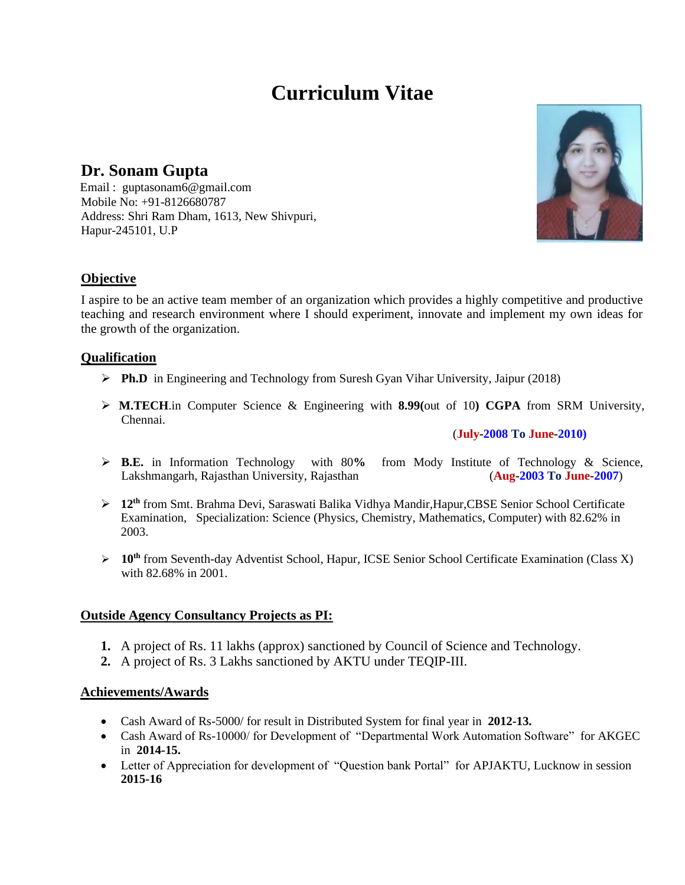# **Curriculum Vitae**

# **Dr. Sonam Gupta**

Email : guptasonam6@gmail.com Mobile No: +91-8126680787 Address: Shri Ram Dham, 1613, New Shivpuri, Hapur-245101, U.P

# **Objective**

I aspire to be an active team member of an organization which provides a highly competitive and productive teaching and research environment where I should experiment, innovate and implement my own ideas for the growth of the organization.

# **Qualification**

- ➢ **Ph.D** in Engineering and Technology from Suresh Gyan Vihar University, Jaipur (2018)
- ➢ **M.TECH**.in Computer Science & Engineering with **8.99(**out of 10**) CGPA** from SRM University, Chennai.

#### (**July-2008 To June-2010)**

- ➢ **B.E.** in Information Technology with 80**%** from Mody Institute of Technology & Science, Lakshmangarh, Rajasthan University, Rajasthan (**Aug-2003 To June-2007**)
- ➢ **12th** from Smt. Brahma Devi, Saraswati Balika Vidhya Mandir,Hapur,CBSE Senior School Certificate Examination, Specialization: Science (Physics, Chemistry, Mathematics, Computer) with 82.62% in 2003.
- ➢ **10th** from Seventh-day Adventist School, Hapur, ICSE Senior School Certificate Examination (Class X) with 82.68% in 2001.

# **Outside Agency Consultancy Projects as PI:**

- **1.** A project of Rs. 11 lakhs (approx) sanctioned by Council of Science and Technology.
- **2.** A project of Rs. 3 Lakhs sanctioned by AKTU under TEQIP-III.

# **Achievements/Awards**

- Cash Award of Rs-5000/ for result in Distributed System for final year in **2012-13.**
- Cash Award of Rs-10000/ for Development of "Departmental Work Automation Software" for AKGEC in **2014-15.**
- Letter of Appreciation for development of "Question bank Portal" for APJAKTU, Lucknow in session **2015-16**

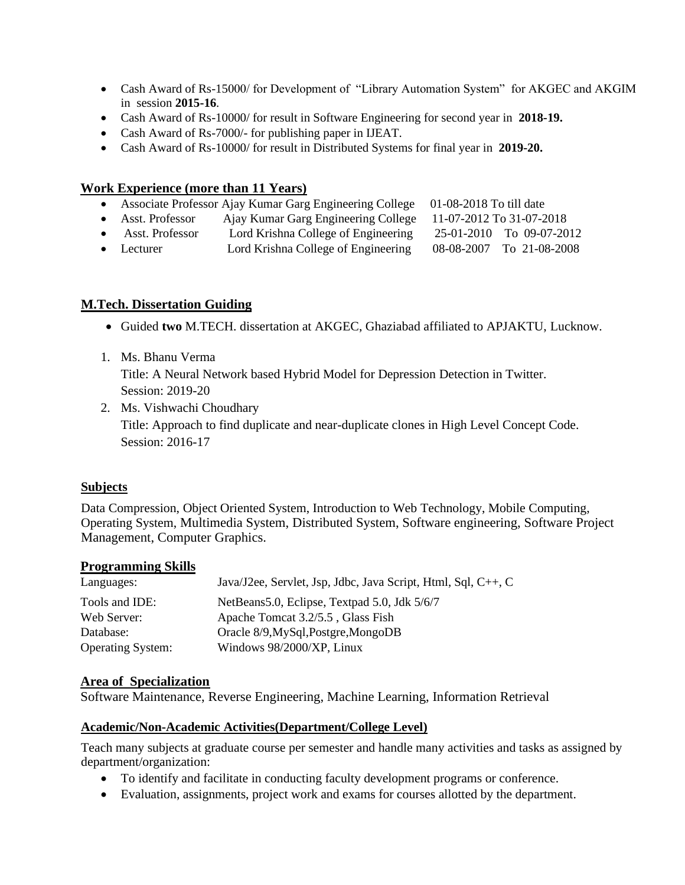- Cash Award of Rs-15000/ for Development of "Library Automation System" for AKGEC and AKGIM in session **2015-16**.
- Cash Award of Rs-10000/ for result in Software Engineering for second year in **2018-19.**
- Cash Award of Rs-7000/- for publishing paper in IJEAT.
- Cash Award of Rs-10000/ for result in Distributed Systems for final year in **2019-20.**

### **Work Experience (more than 11 Years)**

- Associate Professor Ajay Kumar Garg Engineering College 01-08-2018 To till date
- Asst. Professor Ajay Kumar Garg Engineering College 11-07-2012 To 31-07-2018
- Asst. Professor Lord Krishna College of Engineering 25-01-2010 To 09-07-2012
- Lecturer Lord Krishna College of Engineering 08-08-2007 To 21-08-2008

# **M.Tech. Dissertation Guiding**

- Guided **two** M.TECH. dissertation at AKGEC, Ghaziabad affiliated to APJAKTU, Lucknow.
- 1. Ms. Bhanu Verma

Title: A Neural Network based Hybrid Model for Depression Detection in Twitter. Session: 2019-20

2. Ms. Vishwachi Choudhary Title: Approach to find duplicate and near-duplicate clones in High Level Concept Code. Session: 2016-17

#### **Subjects**

Data Compression, Object Oriented System, Introduction to Web Technology, Mobile Computing, Operating System, Multimedia System, Distributed System, Software engineering, Software Project Management, Computer Graphics.

#### **Programming Skills**

| Languages:               | Java/J2ee, Servlet, Jsp, Jdbc, Java Script, Html, Sql, C++, C |
|--------------------------|---------------------------------------------------------------|
| Tools and IDE:           | NetBeans5.0, Eclipse, Textpad 5.0, Jdk 5/6/7                  |
| Web Server:              | Apache Tomcat 3.2/5.5, Glass Fish                             |
| Database:                | Oracle 8/9, MySql, Postgre, MongoDB                           |
| <b>Operating System:</b> | Windows 98/2000/XP, Linux                                     |

#### **Area of Specialization**

Software Maintenance, Reverse Engineering, Machine Learning, Information Retrieval

#### **Academic/Non-Academic Activities(Department/College Level)**

Teach many subjects at graduate course per semester and handle many activities and tasks as assigned by department/organization:

- To identify and facilitate in conducting faculty development programs or conference.
- Evaluation, assignments, project work and exams for courses allotted by the department.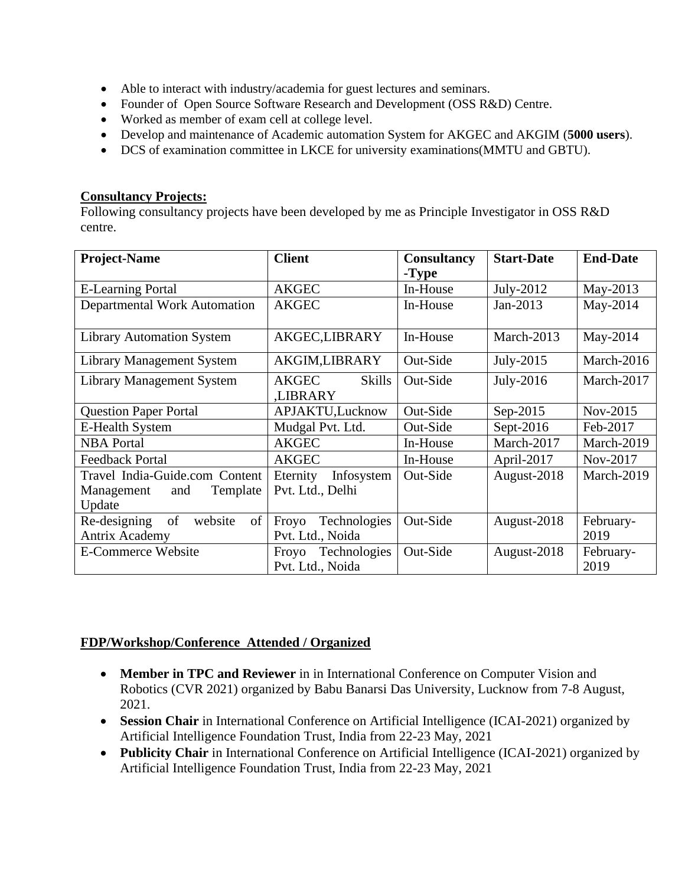- Able to interact with industry/academia for guest lectures and seminars.
- Founder of Open Source Software Research and Development (OSS R&D) Centre.
- Worked as member of exam cell at college level.
- Develop and maintenance of Academic automation System for AKGEC and AKGIM (**5000 users**).
- DCS of examination committee in LKCE for university examinations(MMTU and GBTU).

# **Consultancy Projects:**

Following consultancy projects have been developed by me as Principle Investigator in OSS R&D centre.

| <b>Project-Name</b>                                                       | <b>Client</b>                                   | <b>Consultancy</b><br>-Type | <b>Start-Date</b> | <b>End-Date</b>   |
|---------------------------------------------------------------------------|-------------------------------------------------|-----------------------------|-------------------|-------------------|
| <b>E-Learning Portal</b>                                                  | <b>AKGEC</b>                                    | In-House                    | July-2012         | May-2013          |
| Departmental Work Automation                                              | <b>AKGEC</b>                                    | In-House                    | $Jan-2013$        | May-2014          |
| <b>Library Automation System</b>                                          | AKGEC,LIBRARY                                   | In-House                    | March-2013        | May-2014          |
| <b>Library Management System</b>                                          | AKGIM,LIBRARY                                   | Out-Side                    | July-2015         | March-2016        |
| <b>Library Management System</b>                                          | <b>AKGEC</b><br><b>Skills</b><br><b>LIBRARY</b> | Out-Side                    | July-2016         | March-2017        |
| <b>Question Paper Portal</b>                                              | APJAKTU,Lucknow                                 | Out-Side                    | Sep-2015          | Nov-2015          |
| <b>E-Health System</b>                                                    | Mudgal Pvt. Ltd.                                | Out-Side                    | Sept- $2016$      | Feb-2017          |
| <b>NBA Portal</b>                                                         | <b>AKGEC</b>                                    | In-House                    | March-2017        | March-2019        |
| <b>Feedback Portal</b>                                                    | <b>AKGEC</b>                                    | In-House                    | April-2017        | Nov-2017          |
| Travel India-Guide.com Content<br>Template<br>Management<br>and<br>Update | Eternity<br>Infosystem<br>Pvt. Ltd., Delhi      | Out-Side                    | August-2018       | March-2019        |
| of<br>of<br>website<br>Re-designing<br><b>Antrix Academy</b>              | Technologies<br>Froyo<br>Pvt. Ltd., Noida       | Out-Side                    | August-2018       | February-<br>2019 |
| <b>E-Commerce Website</b>                                                 | Technologies<br>Froyo<br>Pvt. Ltd., Noida       | Out-Side                    | August-2018       | February-<br>2019 |

# **FDP/Workshop/Conference Attended / Organized**

- **Member in TPC and Reviewer** in in International Conference on Computer Vision and Robotics (CVR 2021) organized by Babu Banarsi Das University, Lucknow from 7-8 August, 2021.
- **Session Chair** in International Conference on Artificial Intelligence (ICAI-2021) organized by Artificial Intelligence Foundation Trust, India from 22-23 May, 2021
- **Publicity Chair** in International Conference on Artificial Intelligence (ICAI-2021) organized by Artificial Intelligence Foundation Trust, India from 22-23 May, 2021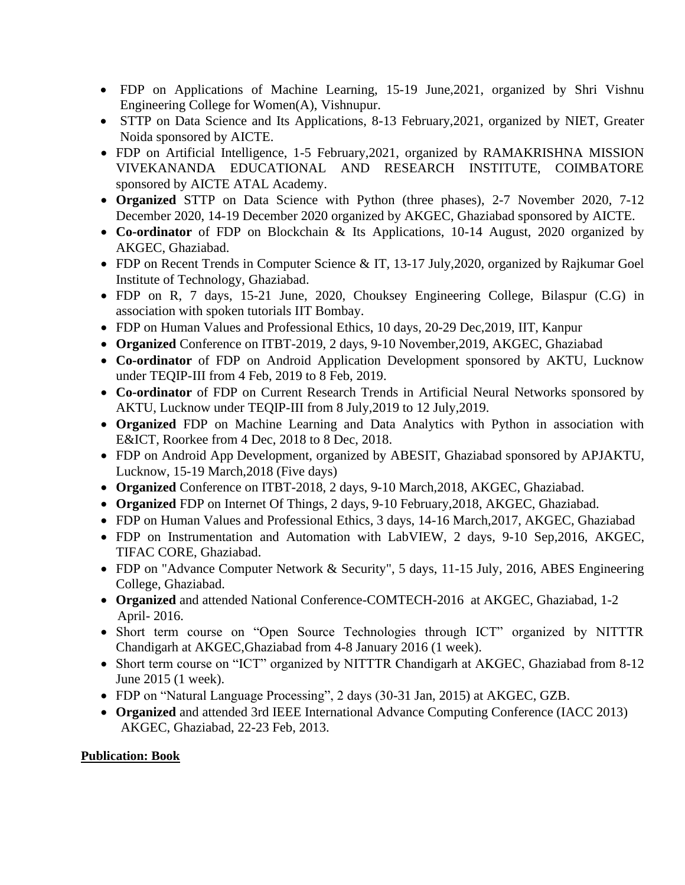- FDP on Applications of Machine Learning, 15-19 June,2021, organized by Shri Vishnu Engineering College for Women(A), Vishnupur.
- STTP on Data Science and Its Applications, 8-13 February,2021, organized by NIET, Greater Noida sponsored by AICTE.
- FDP on Artificial Intelligence, 1-5 February,2021, organized by RAMAKRISHNA MISSION VIVEKANANDA EDUCATIONAL AND RESEARCH INSTITUTE, COIMBATORE sponsored by AICTE ATAL Academy.
- **Organized** STTP on Data Science with Python (three phases), 2-7 November 2020, 7-12 December 2020, 14-19 December 2020 organized by AKGEC, Ghaziabad sponsored by AICTE.
- **Co-ordinator** of FDP on Blockchain & Its Applications, 10-14 August, 2020 organized by AKGEC, Ghaziabad.
- FDP on Recent Trends in Computer Science & IT, 13-17 July, 2020, organized by Rajkumar Goel Institute of Technology, Ghaziabad.
- FDP on R, 7 days, 15-21 June, 2020, Chouksey Engineering College, Bilaspur (C.G) in association with spoken tutorials IIT Bombay.
- FDP on Human Values and Professional Ethics, 10 days, 20-29 Dec,2019, IIT, Kanpur
- **Organized** Conference on ITBT-2019, 2 days, 9-10 November,2019, AKGEC, Ghaziabad
- **Co-ordinator** of FDP on Android Application Development sponsored by AKTU, Lucknow under TEQIP-III from 4 Feb, 2019 to 8 Feb, 2019.
- **Co-ordinator** of FDP on Current Research Trends in Artificial Neural Networks sponsored by AKTU, Lucknow under TEQIP-III from 8 July,2019 to 12 July,2019.
- **Organized** FDP on Machine Learning and Data Analytics with Python in association with E&ICT, Roorkee from 4 Dec, 2018 to 8 Dec, 2018.
- FDP on Android App Development, organized by ABESIT, Ghaziabad sponsored by APJAKTU, Lucknow, 15-19 March,2018 (Five days)
- **Organized** Conference on ITBT-2018, 2 days, 9-10 March,2018, AKGEC, Ghaziabad.
- **Organized** FDP on Internet Of Things, 2 days, 9-10 February,2018, AKGEC, Ghaziabad.
- FDP on Human Values and Professional Ethics, 3 days, 14-16 March,2017, AKGEC, Ghaziabad
- FDP on Instrumentation and Automation with LabVIEW, 2 days, 9-10 Sep,2016, AKGEC, TIFAC CORE, Ghaziabad.
- FDP on "Advance Computer Network & Security", 5 days, 11-15 July, 2016, ABES Engineering College, Ghaziabad.
- **Organized** and attended National Conference-COMTECH-2016 at AKGEC, Ghaziabad, 1-2 April- 2016.
- Short term course on "Open Source Technologies through ICT" organized by NITTTR Chandigarh at AKGEC,Ghaziabad from 4-8 January 2016 (1 week).
- Short term course on "ICT" organized by NITTTR Chandigarh at AKGEC, Ghaziabad from 8-12 June 2015 (1 week).
- FDP on "Natural Language Processing", 2 days (30-31 Jan, 2015) at AKGEC, GZB.
- **Organized** and attended 3rd IEEE International Advance Computing Conference (IACC 2013) AKGEC, Ghaziabad, 22-23 Feb, 2013.

# **Publication: Book**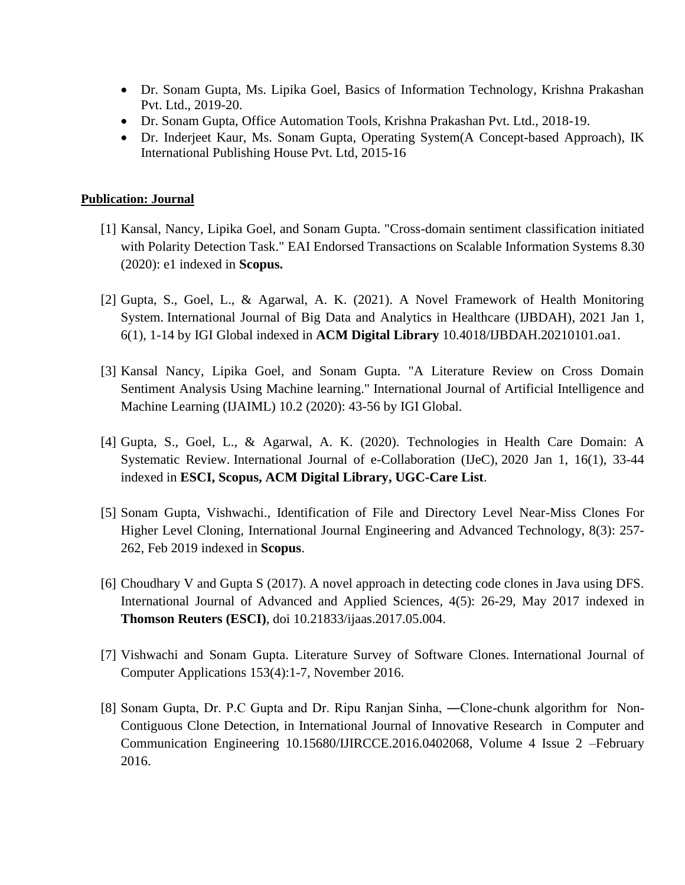- Dr. Sonam Gupta, Ms. Lipika Goel, Basics of Information Technology, Krishna Prakashan Pvt. Ltd., 2019-20.
- Dr. Sonam Gupta, Office Automation Tools, Krishna Prakashan Pvt. Ltd., 2018-19.
- Dr. Inderjeet Kaur, Ms. Sonam Gupta, Operating System(A Concept-based Approach), IK International Publishing House Pvt. Ltd, 2015-16

# **Publication: Journal**

- [1] Kansal, Nancy, Lipika Goel, and Sonam Gupta. "Cross-domain sentiment classification initiated with Polarity Detection Task." EAI Endorsed Transactions on Scalable Information Systems 8.30 (2020): e1 indexed in **Scopus.**
- [2] Gupta, S., Goel, L., & Agarwal, A. K. (2021). A Novel Framework of Health Monitoring System. [International Journal of Big Data and Analytics in Healthcare \(IJBDAH\),](https://www.igi-global.com/journal/international-journal-big-data-analytics/126509) 2021 Jan 1, 6(1), 1-14 by IGI Global indexed in **ACM Digital Library** 10.4018/IJBDAH.20210101.oa1.
- [3] Kansal Nancy, Lipika Goel, and Sonam Gupta. "A Literature Review on Cross Domain Sentiment Analysis Using Machine learning." International Journal of Artificial Intelligence and Machine Learning (IJAIML) 10.2 (2020): 43-56 by IGI Global.
- [4] Gupta, S., Goel, L., & Agarwal, A. K. (2020). Technologies in Health Care Domain: A Systematic Review. International Journal of e-Collaboration (IJeC), 2020 Jan 1, 16(1), 33-44 indexed in **ESCI, Scopus, ACM Digital Library, UGC-Care List**.
- [5] Sonam Gupta, Vishwachi., [Identification of File and Directory Level Near-Miss Clones For](https://www.ijeat.org/wp-content/uploads/papers/v8i3/C5720028319.pdf)  [Higher Level Cloning,](https://www.ijeat.org/wp-content/uploads/papers/v8i3/C5720028319.pdf) International Journal Engineering and Advanced Technology, 8(3): 257- 262, Feb 2019 indexed in **Scopus**.
- [6] Choudhary V and Gupta S (2017). A novel approach in detecting code clones in Java using DFS. International Journal of Advanced and Applied Sciences, 4(5): 26-29, May 2017 indexed in **Thomson Reuters (ESCI)**, doi [10.21833/ijaas.2017.05.004.](https://doi.org/10.21833/ijaas.2017.05.004)
- [7] Vishwachi and Sonam Gupta. Literature Survey of Software Clones. International Journal of Computer Applications 153(4):1-7, November 2016.
- [8] Sonam Gupta, Dr. P.C Gupta and Dr. Ripu Ranjan Sinha, ―Clone-chunk algorithm for Non-Contiguous Clone Detection, in International Journal of Innovative Research in Computer and Communication Engineering 10.15680/IJIRCCE.2016.0402068, Volume 4 Issue 2 –February 2016.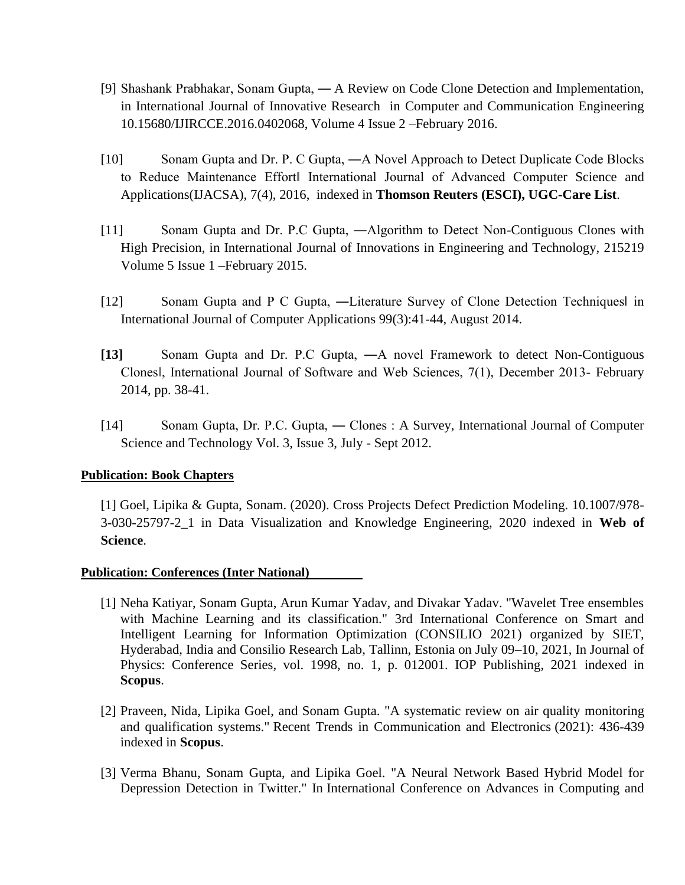- [9] Shashank Prabhakar, Sonam Gupta, ― A Review on Code Clone Detection and Implementation, in International Journal of Innovative Research in Computer and Communication Engineering 10.15680/IJIRCCE.2016.0402068, Volume 4 Issue 2 –February 2016.
- [10] Sonam Gupta and Dr. P. C Gupta, ―A Novel Approach to Detect Duplicate Code Blocks to Reduce Maintenance Effort‖ International Journal of Advanced Computer Science and Applications(IJACSA), 7(4), 2016, indexed in **Thomson Reuters (ESCI), UGC-Care List**.
- [11] Sonam Gupta and Dr. P.C Gupta, ―Algorithm to Detect Non-Contiguous Clones with High Precision, in International Journal of Innovations in Engineering and Technology, 215219 Volume 5 Issue 1 –February 2015.
- [12] Sonam Gupta and P C Gupta, —Literature Survey of Clone Detection Techniques in International Journal of Computer Applications 99(3):41-44, August 2014.
- **[13]** Sonam Gupta and Dr. P.C Gupta, ―A novel Framework to detect Non-Contiguous Clones‖, International Journal of Software and Web Sciences, 7(1), December 2013- February 2014, pp. 38-41.
- [14] Sonam Gupta, Dr. P.C. Gupta, ― Clones : A Survey, International Journal of Computer Science and Technology Vol. 3, Issue 3, July - Sept 2012.

# **Publication: Book Chapters**

[1] Goel, Lipika & Gupta, Sonam. (2020). Cross Projects Defect Prediction Modeling. 10.1007/978- 3-030-25797-2\_1 in Data Visualization and Knowledge Engineering, 2020 indexed in **Web of Science**.

# **Publication: Conferences (Inter National)**

- [1] Neha Katiyar, Sonam Gupta, Arun Kumar Yadav, and Divakar Yadav. "Wavelet Tree ensembles with Machine Learning and its classification." 3rd International Conference on Smart and Intelligent Learning for Information Optimization (CONSILIO 2021) organized by SIET, Hyderabad, India and Consilio Research Lab, Tallinn, Estonia on July 09–10, 2021, In Journal of Physics: Conference Series, vol. 1998, no. 1, p. 012001. IOP Publishing, 2021 indexed in **Scopus**.
- [2] Praveen, Nida, Lipika Goel, and Sonam Gupta. "A systematic review on air quality monitoring and qualification systems." Recent Trends in Communication and Electronics (2021): 436-439 indexed in **Scopus**.
- [3] Verma Bhanu, Sonam Gupta, and Lipika Goel. "A Neural Network Based Hybrid Model for Depression Detection in Twitter." In International Conference on Advances in Computing and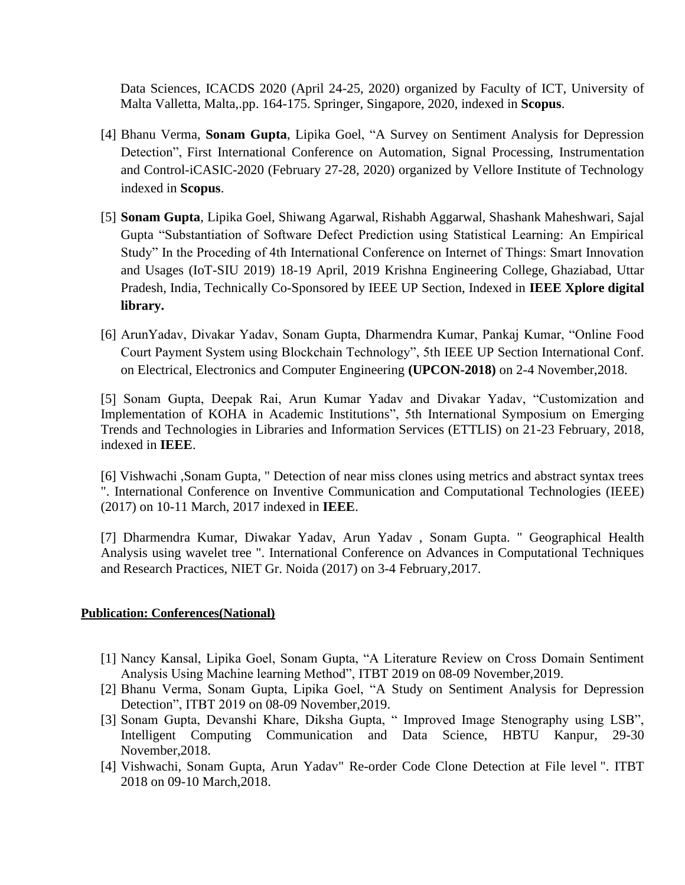Data Sciences, ICACDS 2020 (April 24-25, 2020) organized by Faculty of ICT, University of Malta Valletta, Malta,.pp. 164-175. Springer, Singapore, 2020, indexed in **Scopus**.

- [4] Bhanu Verma, **Sonam Gupta**, Lipika Goel, "A Survey on Sentiment Analysis for Depression Detection", First International Conference on Automation, Signal Processing, Instrumentation and Control-iCASIC-2020 (February 27-28, 2020) organized by Vellore Institute of Technology indexed in **Scopus**.
- [5] **Sonam Gupta**, Lipika Goel, Shiwang Agarwal, Rishabh Aggarwal, Shashank Maheshwari, Sajal Gupta "Substantiation of Software Defect Prediction using Statistical Learning: An Empirical Study" In the Proceding of 4th International Conference on Internet of Things: Smart Innovation and Usages (IoT-SIU 2019) 18-19 April, 2019 Krishna Engineering College, Ghaziabad, Uttar Pradesh, India, Technically Co-Sponsored by IEEE UP Section, Indexed in **IEEE Xplore digital library.**
- [6] ArunYadav, Divakar Yadav, Sonam Gupta, Dharmendra Kumar, Pankaj Kumar, "Online Food Court Payment System using Blockchain Technology", 5th IEEE UP Section International Conf. on Electrical, Electronics and Computer Engineering **(UPCON-2018)** on 2-4 November,2018.

[5] Sonam Gupta, Deepak Rai, Arun Kumar Yadav and Divakar Yadav, "Customization and Implementation of KOHA in Academic Institutions", 5th International Symposium on Emerging Trends and Technologies in Libraries and Information Services (ETTLIS) on 21-23 February, 2018, indexed in **IEEE**.

[6] Vishwachi ,Sonam Gupta, " Detection of near miss clones using metrics and abstract syntax trees ". International Conference on Inventive Communication and Computational Technologies (IEEE) (2017) on 10-11 March, 2017 indexed in **IEEE**.

[7] Dharmendra Kumar, Diwakar Yadav, Arun Yadav , Sonam Gupta. " Geographical Health Analysis using wavelet tree ". International Conference on Advances in Computational Techniques and Research Practices, NIET Gr. Noida (2017) on 3-4 February,2017.

# **Publication: Conferences(National)**

- [1] Nancy Kansal, Lipika Goel, Sonam Gupta, "A Literature Review on Cross Domain Sentiment Analysis Using Machine learning Method", ITBT 2019 on 08-09 November,2019.
- [2] Bhanu Verma, Sonam Gupta, Lipika Goel, "A Study on Sentiment Analysis for Depression Detection", ITBT 2019 on 08-09 November,2019.
- [3] Sonam Gupta, Devanshi Khare, Diksha Gupta, " Improved Image Stenography using LSB", Intelligent Computing Communication and Data Science, HBTU Kanpur, 29-30 November,2018.
- [4] Vishwachi, Sonam Gupta, Arun Yadav" Re-order Code Clone Detection at File level ". ITBT 2018 on 09-10 March,2018.